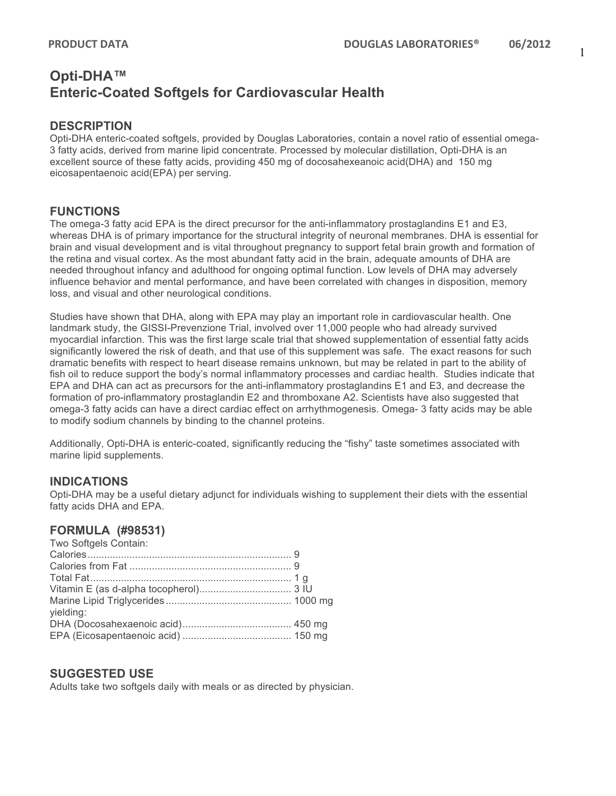# **Opti-DHA™ Enteric-Coated Softgels for Cardiovascular Health**

# **DESCRIPTION**

Opti-DHA enteric-coated softgels, provided by Douglas Laboratories, contain a novel ratio of essential omega-3 fatty acids, derived from marine lipid concentrate. Processed by molecular distillation, Opti-DHA is an excellent source of these fatty acids, providing 450 mg of docosahexeanoic acid(DHA) and 150 mg eicosapentaenoic acid(EPA) per serving.

# **FUNCTIONS**

The omega-3 fatty acid EPA is the direct precursor for the anti-inflammatory prostaglandins E1 and E3, whereas DHA is of primary importance for the structural integrity of neuronal membranes. DHA is essential for brain and visual development and is vital throughout pregnancy to support fetal brain growth and formation of the retina and visual cortex. As the most abundant fatty acid in the brain, adequate amounts of DHA are needed throughout infancy and adulthood for ongoing optimal function. Low levels of DHA may adversely influence behavior and mental performance, and have been correlated with changes in disposition, memory loss, and visual and other neurological conditions.

Studies have shown that DHA, along with EPA may play an important role in cardiovascular health. One landmark study, the GISSI-Prevenzione Trial, involved over 11,000 people who had already survived myocardial infarction. This was the first large scale trial that showed supplementation of essential fatty acids significantly lowered the risk of death, and that use of this supplement was safe. The exact reasons for such dramatic benefits with respect to heart disease remains unknown, but may be related in part to the ability of fish oil to reduce support the body's normal inflammatory processes and cardiac health. Studies indicate that EPA and DHA can act as precursors for the anti-inflammatory prostaglandins E1 and E3, and decrease the formation of pro-inflammatory prostaglandin E2 and thromboxane A2. Scientists have also suggested that omega-3 fatty acids can have a direct cardiac effect on arrhythmogenesis. Omega- 3 fatty acids may be able to modify sodium channels by binding to the channel proteins.

Additionally, Opti-DHA is enteric-coated, significantly reducing the "fishy" taste sometimes associated with marine lipid supplements.

### **INDICATIONS**

Opti-DHA may be a useful dietary adjunct for individuals wishing to supplement their diets with the essential fatty acids DHA and EPA.

### **FORMULA (#98531)**

| Two Softgels Contain: |  |
|-----------------------|--|
|                       |  |
|                       |  |
|                       |  |
|                       |  |
|                       |  |
| yielding:             |  |
|                       |  |
|                       |  |
|                       |  |

### **SUGGESTED USE**

Adults take two softgels daily with meals or as directed by physician.